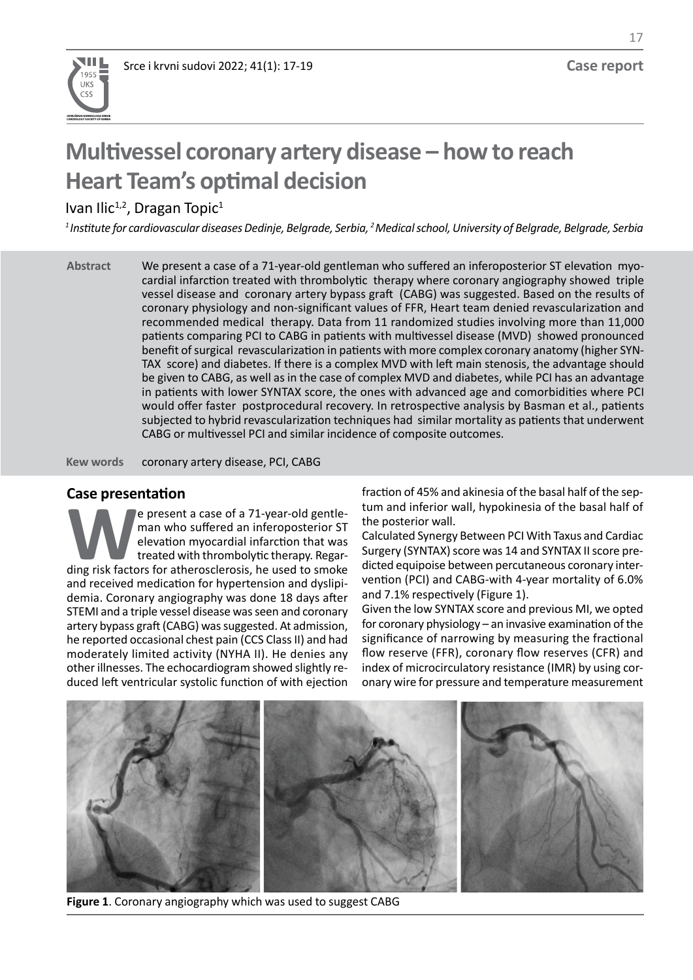

17

# **Multivessel coronary artery disease – how to reach Heart Team's optimal decision**

Ivan Ilic<sup>1,2</sup>, Dragan Topic<sup>1</sup>

*<sup>1</sup>Institute for cardiovascular diseases Dedinje, Belgrade, Serbia, <sup>2</sup>Medical school, University of Belgrade, Belgrade, Serbia*

We present a case of a 71-year-old gentleman who suffered an inferoposterior ST elevation myocardial infarction treated with thrombolytic therapy where coronary angiography showed triple cardial infarction treated with thrombolytic therapy where coronary anglography showed thine<br>vessel disease and coronary artery bypass graft (CABG) was suggested. Based on the results of coronary physiology and non-significant values of FFR, Heart team denied revascularization and recommended medical therapy. Data from 11 randomized studies involving more than 11,000 patients comparing PCI to CABG in patients with multivessel disease (MVD) showed pronounced benefit of surgical revascularization in patients with more complex coronary anatomy (higher SYN-TAX score) and diabetes. If there is a complex MVD with left main stenosis, the advantage should be given to CABG, as well as in the case of complex MVD and diabetes, while PCI has an advantage be given to CABG, as well as in the case of complex wive and diabetes, while I CI has an advantage<br>in patients with lower SYNTAX score, the ones with advanced age and comorbidities where PCI would offer faster postprocedural recovery. In retrospective analysis by Basman et al., patients subjected to hybrid revascularization techniques had similar mortality as patients that underwent CABG or multivessel PCI and similar incidence of composite outcomes. **Abstract** We present a case of a 71-year-old gentleman who suffered an inferoposterior ST

coronary artery disease, PCI, CABG **Kew words** (NYHA II). He denies any other illnesses. The echocardiogram showed slightly reduced left

#### **Case presentation**

**We present a case of a 71-year-old gentle-**<br>
man who suffered an inferoposterior ST<br>
elevation myocardial infarction that was<br>
treated with thrombolytic therapy. Regar-<br>
ding risk factors for atherosclerosis, he used to s man who suffered an inferoposterior ST elevation myocardial infarction that was treated with thrombolytic therapy. Regarand received medication for hypertension and dyslipiand received medication for hypertension and dysilpi-<br>demia. Coronary angiography was done 18 days after and 7.1% respectively (Figure 1). STEMI and a triple vessel disease was seen and coronary artery bypass graft (CABG) was suggested. At admission, he reported occasional chest pain (CCS Class II) and had moderately limited activity (NYHA II). He denies any other illnesses. The echocardiogram showed slightly reduced left ventricular systolic function of with ejection e present a case of a 71-year-old gentle-

**Case presentation**<br> **Case presentation** tum and inferior wall, hypokinesia of the basal half of the posterior wall.

Calculated Synergy Between PCI With Taxus and Cardiac Surgery (SYNTAX) score was 14 and SYNTAX II score predicted with thrombolytic therapy. Regar-<br>Factors for atherosclerosis, he used to smoke dicted equipoise between percutaneous coronary intervention (PCI) and CABG-with 4-year mortality of 6.0% and 7.1% respectively (Figure 1).

Given the low SYNTAX score and previous MI, we opted artery bypass graft (CABG) was suggested. At admission, for coronary physiology – an invasive examination of the significance of narrowing by measuring the fractional flow reserve (FFR), coronary flow reserves (CFR) and index of microcirculatory resistance (IMR) by using coronary wire for pressure and temperature measurement



**Figure 1**. Coronary angiography which was used to suggest CABG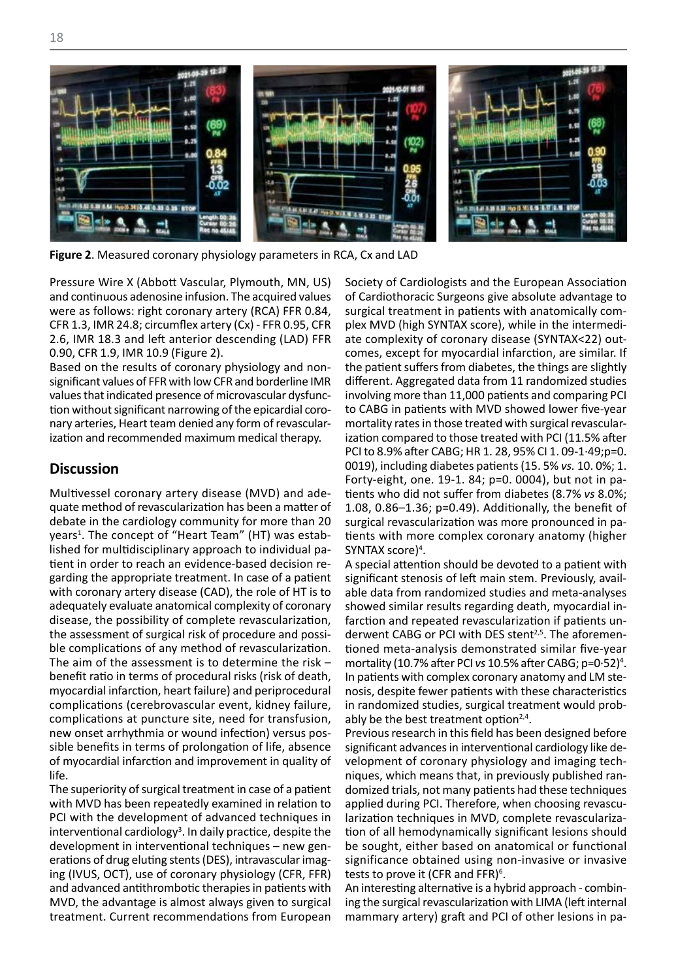

**Figure 2**. Measured coronary physiology parameters in RCA, Cx and LAD

Pressure Wire X (Abbott Vascular, Plymouth, MN, US) Society of Cardiologists and the Euro and continuous adenosine infusion. The acquired values were as follows: right coronary artery (RCA) FFR 0.84, CFR 1.3, IMR 24.8; circumflex artery (Cx) - FFR 0.95, CFR 2.6, IMR 18.3 and left anterior descending (LAD) FFR 0.90, CFR 1.9, IMR 10.9 (Figure 2).

Based on the results of coronary physiology and nonsignificant values of FFR with low CFR and borderline IMR values that indicated presence of microvascular dysfunction without significant narrowing of the epicardial coronary arteries, Heart team denied any form of revascularization and recommended maximum medical therapy.

#### **Discussion**

Multivessel coronary artery disease (MVD) and adequate method of revascularization has been a matter of debate in the cardiology community for more than 20 **Discussion** years<sup>1</sup>. The concept of "Heart Team" (HT) was established for multidisciplinary approach to individual patient in order to reach an evidence-based decision re- A special attention should be devoted to garding the appropriate treatment. In case of a patient with coronary artery disease (CAD), the role of HT is to adequately evaluate anatomical complexity of coronary disease, the possibility of complete revascularization, the assessment of surgical risk of procedure and possible complications of any method of revascularization. The aim of the assessment is to determine the risk – benefit ratio in terms of procedural risks (risk of death, myocardial infarction, heart failure) and periprocedural myocalular infaction, neart lanure) and periprocedural Thosis, despite lewer patients with these characterist<br>complications (cerebrovascular event, kidney failure, The randomized studies, surgical treatment would pro complications at puncture site, need for transfusion, new onset arrhythmia or wound infection) versus pos- Previous research in this field has been designed before sible benefits in terms of prolongation of life, absence of myocardial infarction and improvement in quality of life. of myocardial infarction and improvement in quality of velopment of coronary physiology and imaging tech-<br>life

The superiority of surgical treatment in case of a patient with MVD has been repeatedly examined in relation to PCI with the development of advanced techniques in interventional cardiology<sup>3</sup>. In daily practice, despite the development in interventional techniques – new generations of drug eluting stents (DES), intravascular imaging (IVUS, OCT), use of coronary physiology (CFR, FFR) and advanced antithrombotic therapies in patients with MVD, the advantage is almost always given to surgical treatment. Current recommendations from European

Society of Cardiologists and the European Association of Cardiothoracic Surgeons give absolute advantage to surgical treatment in patients with anatomically complex MVD (high SYNTAX score), while in the intermediate complexity of coronary disease (SYNTAX<22) outcomes, except for myocardial infarction, are similar. If the results of coronary physiology and non- the patient suffers from diabetes, the things are slightly different. Aggregated data from 11 randomized studies involving more than 11,000 patients and comparing PCI values that indicated presence of inicrovascular dysidic-through more than 11,000 patients and comparing FCR tion without significant narrowing of the epicardial coro-to CABG in patients with MVD showed lower five-year mortality rates in those treated with surgical revascularization compared to those treated with PCI (11.5% after PCI to 8.9% after CABG; HR 1. 28, 95% CI 1. 09-1·49;p=0. 0019), including diabetes patients (15. 5% *vs.* 10. 0%; 1. Forty-eight, one. 19-1. 84; p=0. 0004), but not in patients who did not suffer from diabetes (8.7% *vs* 8.0%; 1.08, 0.86–1.36; p=0.49). Additionally, the benefit of surgical revascularization was more pronounced in patients with more complex coronary anatomy (higher SYNTAX score)<sup>4</sup>. ization and recommended maximum medical therapy.<br>
PCI to 8.9% after CABG; HR 1. 28, 95% CI 1. 09-1.49; p=0.<br>
OO19), including diabetes patients (15. 5% vs. 10. 0%; 1.<br>
Forty eight, one 19.1, 84: p=0, 0004), but not in pe

A special attention should be devoted to a patient with significant stenosis of left main stem. Previously, availwith coronary artery disease (CAD), the role of HT is to able data from randomized studies and meta-analyses with the cardiomized studies and meta-analyses showed similar results regarding death, myocardial infarction and repeated revascularization if patients underived or proceeding or complete relationalization, and the repeated relationalization is patiently and the assessment of surgical risk of procedure and possi-<br>derwent CABG or PCI with DES stent<sup>2,5</sup>. The aforementioned meta-analysis demonstrated similar five-year The aim of the assessment is to determine the risk - mortality (10.7% after PCI *vs* 10.5% after CABG; p=0·52)<sup>4</sup>. In patients with complex coronary anatomy and LM stenosis, despite fewer patients with these characteristics in randomized studies, surgical treatment would probably be the best treatment option $2,4$ .

> Previous research in this field has been designed before significant advances in interventional cardiology like deniques, which means that, in previously published randomized trials, not many patients had these techniques applied during PCI. Therefore, when choosing revascularization techniques in MVD, complete revascularization of all hemodynamically significant lesions should be sought, either based on anatomical or functional significance obtained using non-invasive or invasive tests to prove it (CFR and FFR) $6$ .

> An interesting alternative is a hybrid approach - combining the surgical revascularization with LIMA (left internal mammary artery) graft and PCI of other lesions in pa-